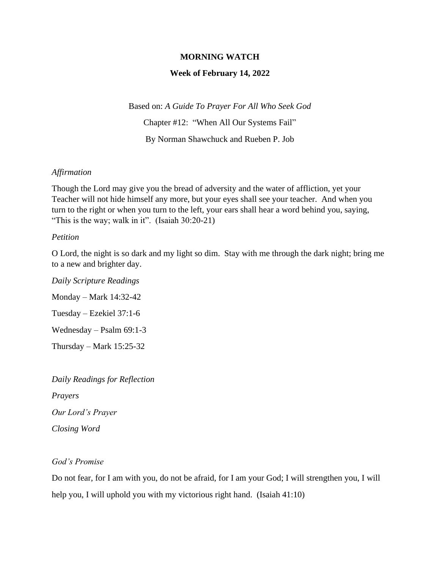### **MORNING WATCH**

#### **Week of February 14, 2022**

Based on: *A Guide To Prayer For All Who Seek God* Chapter #12: "When All Our Systems Fail" By Norman Shawchuck and Rueben P. Job

#### *Affirmation*

Though the Lord may give you the bread of adversity and the water of affliction, yet your Teacher will not hide himself any more, but your eyes shall see your teacher. And when you turn to the right or when you turn to the left, your ears shall hear a word behind you, saying, "This is the way; walk in it". (Isaiah 30:20-21)

### *Petition*

O Lord, the night is so dark and my light so dim. Stay with me through the dark night; bring me to a new and brighter day.

*Daily Scripture Readings* Monday – Mark 14:32-42 Tuesday – Ezekiel 37:1-6 Wednesday – Psalm 69:1-3 Thursday – Mark 15:25-32

*Daily Readings for Reflection Prayers Our Lord's Prayer Closing Word*

## *God's Promise*

Do not fear, for I am with you, do not be afraid, for I am your God; I will strengthen you, I will help you, I will uphold you with my victorious right hand. (Isaiah 41:10)